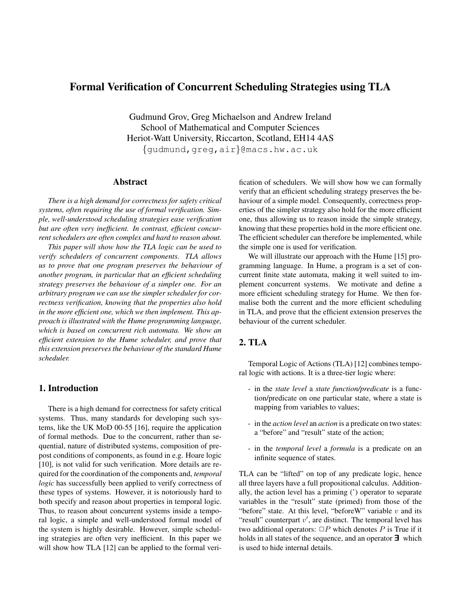# Formal Verification of Concurrent Scheduling Strategies using TLA

Gudmund Grov, Greg Michaelson and Andrew Ireland School of Mathematical and Computer Sciences Heriot-Watt University, Riccarton, Scotland, EH14 4AS {gudmund,greg,air}@macs.hw.ac.uk

#### Abstract

*There is a high demand for correctness for safety critical systems, often requiring the use of formal verification. Simple, well-understood scheduling strategies ease verification but are often very inefficient. In contrast, efficient concurrent schedulers are often complex and hard to reason about.*

*This paper will show how the TLA logic can be used to verify schedulers of concurrent components. TLA allows us to prove that one program preserves the behaviour of another program, in particular that an efficient scheduling strategy preserves the behaviour of a simpler one. For an arbitrary program we can use the simpler scheduler for correctness verification, knowing that the properties also hold in the more efficient one, which we then implement. This approach is illustrated with the Hume programming language, which is based on concurrent rich automata. We show an efficient extension to the Hume scheduler, and prove that this extension preserves the behaviour of the standard Hume scheduler.*

## 1. Introduction

There is a high demand for correctness for safety critical systems. Thus, many standards for developing such systems, like the UK MoD 00-55 [16], require the application of formal methods. Due to the concurrent, rather than sequential, nature of distributed systems, composition of prepost conditions of components, as found in e.g. Hoare logic [10], is not valid for such verification. More details are required for the coordination of the components and, *temporal logic* has successfully been applied to verify correctness of these types of systems. However, it is notoriously hard to both specify and reason about properties in temporal logic. Thus, to reason about concurrent systems inside a temporal logic, a simple and well-understood formal model of the system is highly desirable. However, simple scheduling strategies are often very inefficient. In this paper we will show how TLA [12] can be applied to the formal verification of schedulers. We will show how we can formally verify that an efficient scheduling strategy preserves the behaviour of a simple model. Consequently, correctness properties of the simpler strategy also hold for the more efficient one, thus allowing us to reason inside the simple strategy, knowing that these properties hold in the more efficient one. The efficient scheduler can therefore be implemented, while the simple one is used for verification.

We will illustrate our approach with the Hume [15] programming language. In Hume, a program is a set of concurrent finite state automata, making it well suited to implement concurrent systems. We motivate and define a more efficient scheduling strategy for Hume. We then formalise both the current and the more efficient scheduling in TLA, and prove that the efficient extension preserves the behaviour of the current scheduler.

## 2. TLA

Temporal Logic of Actions (TLA) [12] combines temporal logic with actions. It is a three-tier logic where:

- in the *state level* a *state function/predicate* is a function/predicate on one particular state, where a state is mapping from variables to values;
- in the *action level* an *action* is a predicate on two states: a "before" and "result" state of the action;
- in the *temporal level* a *formula* is a predicate on an infinite sequence of states.

TLA can be "lifted" on top of any predicate logic, hence all three layers have a full propositional calculus. Additionally, the action level has a priming (') operator to separate variables in the "result" state (primed) from those of the "before" state. At this level, "before W" variable  $v$  and its "result" counterpart  $v'$ , are distinct. The temporal level has two additional operators:  $\Box P$  which denotes P is True if it holds in all states of the sequence, and an operator ∃ which is used to hide internal details.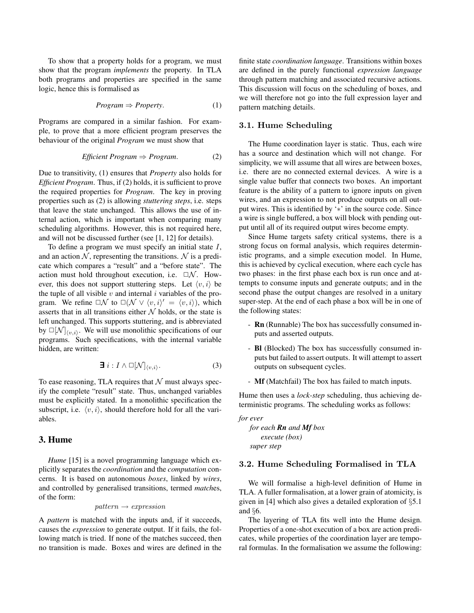To show that a property holds for a program, we must show that the program *implements* the property. In TLA both programs and properties are specified in the same logic, hence this is formalised as

$$
Program \Rightarrow Property. \tag{1}
$$

Programs are compared in a similar fashion. For example, to prove that a more efficient program preserves the behaviour of the original *Program* we must show that

$$
Efficient Program \Rightarrow Program. \tag{2}
$$

Due to transitivity, (1) ensures that *Property* also holds for *Efficient Program*. Thus, if (2) holds, it is sufficient to prove the required properties for *Program*. The key in proving properties such as (2) is allowing *stuttering steps*, i.e. steps that leave the state unchanged. This allows the use of internal action, which is important when comparing many scheduling algorithms. However, this is not required here, and will not be discussed further (see [1, 12] for details).

To define a program we must specify an initial state  $I$ , and an action  $N$ , representing the transitions. N is a predicate which compares a "result" and a "before state". The action must hold throughout execution, i.e.  $\square \mathcal{N}$ . However, this does not support stuttering steps. Let  $\langle v, i \rangle$  be the tuple of all visible  $v$  and internal  $i$  variables of the program. We refine  $\Box \mathcal{N}$  to  $\Box (\mathcal{N} \vee \langle v, i \rangle) = \langle v, i \rangle$ , which asserts that in all transitions either  $N$  holds, or the state is left unchanged. This supports stuttering, and is abbreviated by  $\square[\mathcal{N}]_{\langle v,i \rangle}$ . We will use monolithic specifications of our programs. Such specifications, with the internal variable hidden, are written:

$$
\mathbf{\Xi} i : I \wedge \Box[\mathcal{N}]_{\langle v,i \rangle}.
$$
 (3)

To ease reasoning, TLA requires that  $N$  must always specify the complete "result" state. Thus, unchanged variables must be explicitly stated. In a monolithic specification the subscript, i.e.  $\langle v, i \rangle$ , should therefore hold for all the variables.

## 3. Hume

*Hume* [15] is a novel programming language which explicitly separates the *coordination* and the *computation* concerns. It is based on autonomous *boxes*, linked by *wires*, and controlled by generalised transitions, termed *match*es, of the form:

$$
pattern \rightarrow expression
$$

A *pattern* is matched with the inputs and, if it succeeds, causes the *expression* to generate output. If it fails, the following match is tried. If none of the matches succeed, then no transition is made. Boxes and wires are defined in the finite state *coordination language*. Transitions within boxes are defined in the purely functional *expression language* through pattern matching and associated recursive actions. This discussion will focus on the scheduling of boxes, and we will therefore not go into the full expression layer and pattern matching details.

#### 3.1. Hume Scheduling

The Hume coordination layer is static. Thus, each wire has a source and destination which will not change. For simplicity, we will assume that all wires are between boxes, i.e. there are no connected external devices. A wire is a single value buffer that connects two boxes. An important feature is the ability of a pattern to ignore inputs on given wires, and an expression to not produce outputs on all output wires. This is identified by '∗' in the source code. Since a wire is single buffered, a box will block with pending output until all of its required output wires become empty.

Since Hume targets safety critical systems, there is a strong focus on formal analysis, which requires deterministic programs, and a simple execution model. In Hume, this is achieved by cyclical execution, where each cycle has two phases: in the first phase each box is run once and attempts to consume inputs and generate outputs; and in the second phase the output changes are resolved in a unitary super-step. At the end of each phase a box will be in one of the following states:

- Rn (Runnable) The box has successfully consumed inputs and asserted outputs.
- Bl (Blocked) The box has successfully consumed inputs but failed to assert outputs. It will attempt to assert outputs on subsequent cycles.
- Mf (Matchfail) The box has failed to match inputs.

Hume then uses a *lock-step* scheduling, thus achieving deterministic programs. The scheduling works as follows:

*for ever for each Rn and Mf box*

> *execute (box) super step*

## 3.2. Hume Scheduling Formalised in TLA

We will formalise a high-level definition of Hume in TLA. A fuller formalisation, at a lower grain of atomicity, is given in [4] which also gives a detailed exploration of §5.1 and §6.

The layering of TLA fits well into the Hume design. Properties of a one-shot execution of a box are action predicates, while properties of the coordination layer are temporal formulas. In the formalisation we assume the following: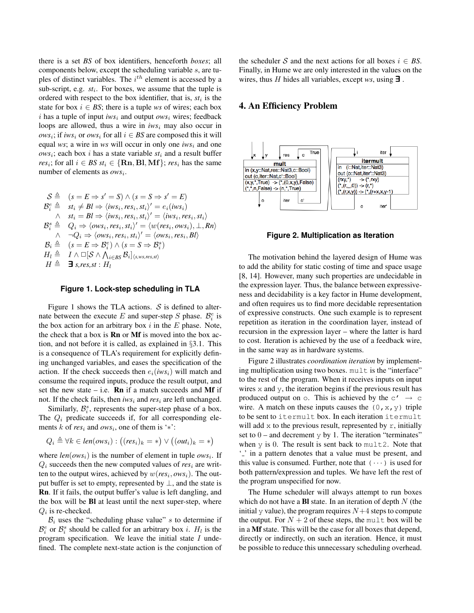there is a set *BS* of box identifiers, henceforth *boxes*; all components below, except the scheduling variable s, are tuples of distinct variables. The  $i^{th}$  element is accessed by a sub-script, e.g.  $st_i$ . For boxes, we assume that the tuple is ordered with respect to the box identifier, that is,  $st_i$  is the state for box  $i \in BS$ ; there is a tuple *ws* of wires; each box  $i$  has a tuple of input *iws<sub>i</sub>* and output  $\omega$ *ws<sub>i</sub>* wires; feedback loops are allowed, thus a wire in  $iws_i$  may also occur in  $ows_i$ ; if *iws<sub>i</sub>* or  $ows_i$  for all  $i \in BS$  are composed this it will equal *ws*; a wire in *ws* will occur in only one  $iws_i$  and one  $ows<sub>i</sub>$ ; each box i has a state variable  $st<sub>i</sub>$  and a result buffer *res*<sup>i</sup>; for all  $i \in BS$  *st*<sub>i</sub>  $\in \{ \textbf{Rn}, \textbf{Bl}, \textbf{Mf} \}$ ; *res*<sup>i</sup> has the same number of elements as *ows*<sub>i</sub>.

$$
S \triangleq (s = E \Rightarrow s' = S) \land (s = S \Rightarrow s' = E)
$$
  
\n
$$
B_i^c \triangleq st_i \neq Bl \Rightarrow \langle iws_i, res_i, st_i \rangle' = e_i(iws_i)
$$
  
\n
$$
\land st_i = Bl \Rightarrow \langle iws_i, res_i, st_i \rangle' = \langle iws_i, res_i, st_i \rangle
$$
  
\n
$$
B_i^s \triangleq Q_i \Rightarrow \langle ows_i, res_i, st_i \rangle' = \langle w(res_i, ows_i), \perp, Rn \rangle
$$
  
\n
$$
\land \neg Q_i \Rightarrow \langle ows_i, res_i, st_i \rangle' = \langle ows_i, res_i, Bl \rangle
$$
  
\n
$$
B_i \triangleq (s = E \Rightarrow B_i^c) \land (s = S \Rightarrow B_i^s)
$$
  
\n
$$
H_i \triangleq I \land \Box[S \land \land_{i \in BS} B_i]_{\langle s, ws, res, st \rangle}
$$
  
\n
$$
H \triangleq J_s res, st : H_l
$$

#### **Figure 1. Lock-step scheduling in TLA**

Figure 1 shows the TLA actions.  $S$  is defined to alternate between the execute E and super-step S phase.  $\mathcal{B}_i^e$  is the box action for an arbitrary box  $i$  in the  $E$  phase. Note, the check that a box is Rn or Mf is moved into the box action, and not before it is called, as explained in §3.1. This is a consequence of TLA's requirement for explicitly defining unchanged variables, and eases the specification of the action. If the check succeeds then  $e_i(iws_i)$  will match and consume the required inputs, produce the result output, and set the new state – i.e.  $\bf{R}$ n if a match succeeds and Mf if not. If the check fails, then  $iws_i$  and  $res_i$  are left unchanged.

Similarly,  $\mathcal{B}_{i}^{s}$ , represents the super-step phase of a box. The  $Q_i$  predicate succeeds if, for all corresponding elements  $k$  of  $res_i$  and  $ows_i$ , one of them is '\*':

$$
Q_i \triangleq \forall k \in len(ows_i) : ((res_i)_k = *) \vee ((out_i)_k = *)
$$

where  $len(ows<sub>i</sub>)$  is the number of element in tuple  $ows<sub>i</sub>$ . If  $Q_i$  succeeds then the new computed values of  $res_i$  are written to the output wires, achieved by  $w(res_i, ows_i)$ . The output buffer is set to empty, represented by  $\perp$ , and the state is Rn. If it fails, the output buffer's value is left dangling, and the box will be Bl at least until the next super-step, where  $Q_i$  is re-checked.

 $B_i$  uses the "scheduling phase value" s to determine if  $\mathcal{B}_i^e$  or  $\mathcal{B}_i^s$  should be called for an arbitrary box *i*.  $H_l$  is the program specification. We leave the initial state  $I$  undefined. The complete next-state action is the conjunction of the scheduler S and the next actions for all boxes  $i \in BS$ . Finally, in Hume we are only interested in the values on the wires, thus H hides all variables, except *ws*, using  $\exists$ .

## 4. An Efficiency Problem



#### **Figure 2. Multiplication as Iteration**

The motivation behind the layered design of Hume was to add the ability for static costing of time and space usage [8, 14]. However, many such properties are undecidable in the expression layer. Thus, the balance between expressiveness and decidability is a key factor in Hume development, and often requires us to find more decidable representation of expressive constructs. One such example is to represent repetition as iteration in the coordination layer, instead of recursion in the expression layer – where the latter is hard to cost. Iteration is achieved by the use of a feedback wire, in the same way as in hardware systems.

Figure 2 illustrates *coordination iteration* by implementing multiplication using two boxes. mult is the "interface" to the rest of the program. When it receives inputs on input wires  $x$  and  $y$ , the iteration begins if the previous result has produced output on  $\circ$ . This is achieved by the  $\circ \prime \rightarrow \circ$ wire. A match on these inputs causes the  $(0, x, y)$  triple to be sent to itermult box. In each iteration itermult will add  $x$  to the previous result, represented by  $r$ , initially set to  $0$  – and decrement  $\gamma$  by 1. The iteration "terminates" when  $y$  is 0. The result is sent back to mult2. Note that '.' in a pattern denotes that a value must be present, and this value is consumed. Further, note that  $( \cdots )$  is used for both pattern/expression and tuples. We have left the rest of the program unspecified for now.

The Hume scheduler will always attempt to run boxes which do not have a **BI** state. In an iteration of depth  $N$  (the initial y value), the program requires  $N+4$  steps to compute the output. For  $N + 2$  of these steps, the mult box will be in a Mf state. This will be the case for all boxes that depend, directly or indirectly, on such an iteration. Hence, it must be possible to reduce this unnecessary scheduling overhead.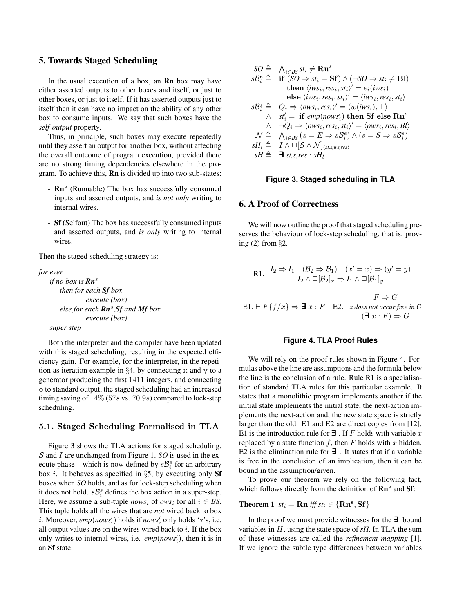## 5. Towards Staged Scheduling

In the usual execution of a box, an Rn box may have either asserted outputs to other boxes and itself, or just to other boxes, or just to itself. If it has asserted outputs just to itself then it can have no impact on the ability of any other box to consume inputs. We say that such boxes have the *self-output* property.

Thus, in principle, such boxes may execute repeatedly until they assert an output for another box, without affecting the overall outcome of program execution, provided there are no strong timing dependencies elsewhere in the program. To achieve this, Rn is divided up into two sub-states:

- Rn<sup>s</sup> (Runnable) The box has successfully consumed inputs and asserted outputs, and *is not only* writing to internal wires.
- Sf (Selfout) The box has successfully consumed inputs and asserted outputs, and *is only* writing to internal wires.

Then the staged scheduling strategy is:

```
for ever
```

```
if no box is Rns
   then for each Sf box
           execute (box)
   else for each Rns
,Sf and Mf box
           execute (box)
```
*super step*

Both the interpreter and the compiler have been updated with this staged scheduling, resulting in the expected efficiency gain. For example, for the interpreter, in the repetition as iteration example in  $\S 4$ , by connecting x and y to a generator producing the first 1411 integers, and connecting o to standard output, the staged scheduling had an increased timing saving of  $14\%$  (57s vs. 70.9s) compared to lock-step scheduling.

#### 5.1. Staged Scheduling Formalised in TLA

Figure 3 shows the TLA actions for staged scheduling. S and I are unchanged from Figure 1. *SO* is used in the execute phase – which is now defined by  $s\mathcal{B}_{i}^e$  for an arbitrary box *i*. It behaves as specified in  $\S5$ , by executing only **Sf** boxes when *SO* holds, and as for lock-step scheduling when it does not hold.  $s\mathcal{B}_i^s$  defines the box action in a super-step. Here, we assume a sub-tuple *nows*<sup>i</sup> of *ows*<sup>i</sup> for all  $i \in BS$ . This tuple holds all the wires that are *not* wired back to box i. Moreover,  $emp(nows'_i)$  holds if  $nows'_i$  only holds '\*'s, i.e. all output values are on the wires wired back to  $i$ . If the box only writes to internal wires, i.e.  $emp(nows'_i)$ , then it is in an Sf state.

$$
\begin{array}{rcl} SO\triangleq&\bigwedge_{i\in BS} st_i\neq \mathbf{R} \mathbf{u}^s\\ s\mathcal{B}_i^e\triangleq&\text{if } (SO\Rightarrow st_i=\mathbf{S}\mathbf{f})\wedge(\neg SO\Rightarrow st_i\neq \mathbf{B}\mathbf{l})\\ &\text{then }\langle \textit{iws}_i,\textit{res}_i,\textit{st}_i\rangle'=e_i(\textit{iws}_i)\\ &\text{else }\langle \textit{iws}_i,\textit{res}_i,\textit{st}_i\rangle'=\langle \textit{iws}_i,\textit{res}_i,\textit{st}_i\rangle\\ s\mathcal{B}_i^s\triangleq&Q_i\Rightarrow \langle \textit{ows}_i,\textit{res}_i\rangle'=\langle w(\textit{iws}_i),\perp\rangle\\ &\wedge\quad st_i'=\text{ if }emp(nows_i')\text{ then }\mathbf{S}\mathbf{f}\text{ else }\mathbf{R}\mathbf{n}^s\\ &\wedge\quad\neg Q_i\Rightarrow \langle \textit{ows}_i,\textit{res}_i,\textit{st}_i\rangle'=\langle \textit{ows}_i,\textit{res}_i,\textit{B}\textit{l}\rangle\\ &\mathcal{N}\triangleq&\bigwedge_{i\in BS}\left(s=E\Rightarrow s\mathcal{B}_i^e\right)\wedge\left(s=S\Rightarrow s\mathcal{B}_i^s\right)\\ &sH_i\triangleq&I\wedge\square[\mathcal{S}\wedge\mathcal{N}]_{\langle \textit{st},\textit{s,ws,res}\rangle}\\ &sH\triangleq&\textbf{I}\text{ s.t},\textit{s,res}:sH_l\end{array}
$$

#### **Figure 3. Staged scheduling in TLA**

## 6. A Proof of Correctness

We will now outline the proof that staged scheduling preserves the behaviour of lock-step scheduling, that is, proving (2) from §2.

R1. 
$$
\frac{I_2 \Rightarrow I_1 \quad (\mathcal{B}_2 \Rightarrow \mathcal{B}_1) \quad (x' = x) \Rightarrow (y' = y)}{I_2 \land \Box[\mathcal{B}_2]_x \Rightarrow I_1 \land \Box[\mathcal{B}_1]_y}
$$

$$
F \Rightarrow G
$$
  
El. 
$$
\vdash F\{f/x\} \Rightarrow \exists x : F \quad \text{E2.} \quad x \text{ does not occur free in } G
$$

$$
(\exists x : F) \Rightarrow G
$$

#### **Figure 4. TLA Proof Rules**

We will rely on the proof rules shown in Figure 4. Formulas above the line are assumptions and the formula below the line is the conclusion of a rule. Rule R1 is a specialisation of standard TLA rules for this particular example. It states that a monolithic program implements another if the initial state implements the initial state, the next-action implements the next-action and, the new state space is strictly larger than the old. E1 and E2 are direct copies from [12]. E1 is the introduction rule for  $\exists$ . If F holds with variable x replaced by a state function  $f$ , then  $F$  holds with  $x$  hidden. E2 is the elimination rule for  $\exists$ . It states that if a variable is free in the conclusion of an implication, then it can be bound in the assumption/given.

To prove our theorem we rely on the following fact, which follows directly from the definition of  $\mathbf{Rn}^s$  and  $\mathbf{Sf}$ :

**Theorem 1**  $st_i = \textbf{Rn}$  iff  $st_i \in \{\textbf{Rn}^{\textbf{s}}, \textbf{Sf}\}$ 

In the proof we must provide witnesses for the ∃ bound variables in H, using the state space of *sH*. In TLA the sum of these witnesses are called the *refinement mapping* [1]. If we ignore the subtle type differences between variables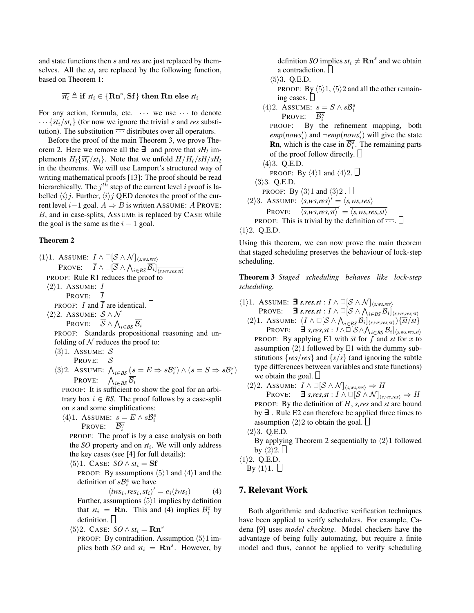and state functions then s and *res* are just replaced by themselves. All the  $st_i$  are replaced by the following function, based on Theorem 1:

 $\overline{st_i} \triangleq \textbf{if} \; st_i \in \{ \textbf{Rn}^\textbf{s}, \textbf{Sf} \} \; \textbf{then} \; \textbf{Rn} \; \textbf{else} \; st_i$ 

For any action, formula, etc.  $\cdots$  we use  $\overline{\cdots}$  to denote  $\cdots$  { $\overline{st_i}/st_i$ } (for now we ignore the trivial s and *res* substitution). The substitution  $\overline{\cdots}$  distributes over all operators.

Before the proof of the main Theorem 3, we prove Theorem 2. Here we remove all the  $\exists$  and prove that  $sH_l$  implements  $H_1\{\overline{st_i}/st_i\}$ . Note that we unfold  $H/H_1/sH/sH_1$ in the theorems. We will use Lamport's structured way of writing mathematical proofs [13]: The proof should be read hierarchically. The  $j<sup>th</sup>$  step of the current level i proof is labelled  $\langle i \rangle j$ . Further,  $\langle i \rangle j$  QED denotes the proof of the current level  $i-1$  goal.  $A \Rightarrow B$  is written ASSUME: A PROVE: B, and in case-splits, ASSUME is replaced by CASE while the goal is the same as the  $i - 1$  goal.

#### Theorem 2

 $\langle 1 \rangle$ 1. ASSUME: *I* ∧ □[*S* ∧ *N*]<sub> $\langle s,ws,res \rangle$ </sub>  $\text{PROVE:} \quad \overline{I} \wedge \Box [\overline{\mathcal{S}} \wedge \bigwedge_{i \in \mathit{BS}} \overline{\mathcal{B}_i}]_{\overline{\langle s,ws, res, st \rangle}}$ PROOF: Rule R1 reduces the proof to  $\langle 2 \rangle$ 1. ASSUME: I PROVE:  $\overline{I}$ **PROOF:** I and  $\overline{I}$  are identical.  $\langle 2 \rangle$ 2. ASSUME:  $S \wedge N$ Prove:  $\overline{\mathcal{S}} \wedge \bigwedge_{i \in \mathit{BS}} \overline{\mathcal{B}_i}$ PROOF: Standards propositional reasoning and unfolding of  $N$  reduces the proof to:  $\langle 3 \rangle$ 1. ASSUME: S **PROVE:**  $\overline{S}$  $\langle 3 \rangle 2$ . ASSUME:  $\bigwedge_{i \in BS} (s = E \Rightarrow s \mathcal{B}_{i}^{e}) \wedge (s = S \Rightarrow s \mathcal{B}_{i}^{s})$ Prove:  $\bigwedge_{i \in \mathit{BS}} \overline{\mathcal{B}_i}$ PROOF: It is sufficient to show the goal for an arbitrary box  $i \in BS$ . The proof follows by a case-split on s and some simplifications:  $\langle 4 \rangle 1$ . ASSUME:  $s = E \wedge s \mathcal{B}_i^e$ Prove:  $\overline{\mathcal{B}^e_i}$ PROOF: The proof is by a case analysis on both the *SO* property and on  $st_i$ . We will only address the key cases (see [4] for full details):  $\langle 5 \rangle$ 1. CASE: *SO* ∧ *st*<sub>i</sub> = **Sf** PROOF: By assumptions  $\langle 5 \rangle$ 1 and  $\langle 4 \rangle$ 1 and the definition of  $s\mathcal{B}_i^e$  we have  $\langle iws_i, res_i, st_i \rangle' = e_i(iws_i)$  (4) Further, assumptions  $\langle 5 \rangle$ 1 implies by definition that  $\overline{st_i}$  = **Rn.** This and (4) implies  $\overline{B_i^e}$  by definition.  $\Box$  $\langle 5 \rangle$ 2. CASE: *SO* ∧ *st<sub>i</sub>* = **Rn**<sup>s</sup> **PROOF:** By contradition. Assumption  $\langle 5 \rangle$ 1 im-

plies both *SO* and  $st_i = \mathbf{Rn}^s$ . However, by

a contradiction.  $\langle 5 \rangle$ 3. Q.E.D. PROOF: By  $\langle 5 \rangle 1$ ,  $\langle 5 \rangle 2$  and all the other remaining cases.  $\langle 4 \rangle 2$ . ASSUME:  $s = S \wedge s \mathcal{B}_{i}^{s}$ PROVE: s i PROOF: By the refinement mapping, both *emp*(*nows*<sup>'</sup><sub>i</sub>)</sub> and  $\neg$ *emp*(*nows*<sup>'</sup><sub>i</sub>) will give the state **Rn**, which is the case in  $\overline{\mathcal{B}_{i}^{s}}$ . The remaining parts of the proof follow directly.  $\Box$  $\langle 4 \rangle$ 3. Q.E.D. PROOF: By  $\langle 4 \rangle$ 1 and  $\langle 4 \rangle$ 2.  $\langle 3 \rangle$ 3. Q.E.D. PROOF: By  $\langle 3 \rangle$ 1 and  $\langle 3 \rangle$ 2 .  $\langle 2 \rangle$ 3. ASSUME:  $\langle s, ws, res \rangle' = \langle s, ws, res \rangle$ PROVE:  $\overline{\langle s,ws,res,st\rangle'} = \overline{\langle s,ws,res,st\rangle}$ PROOF: This is trivial by the definition of  $\overline{\cdots}$ .

definition *SO* implies  $st_i \neq \mathbf{Rn}^s$  and we obtain

 $\langle 1 \rangle$ 2. Q.E.D.

Using this theorem, we can now prove the main theorem that staged scheduling preserves the behaviour of lock-step scheduling.

Theorem 3 *Staged scheduling behaves like lock-step scheduling.*

- $\langle 1 \rangle$ 1. ASSUME: **∃** *s,res,st* : *I* ∧ □[ $S \land N$ ]<sub> $\langle s,ws,res \rangle$ </sub>
	- $\text{PROVE:} \quad \exists \, \mathit{s}, \mathit{res}, \mathit{st} : I \land \Box[\mathcal{S} \land \bigwedge_{i \in \mathit{BS}} \mathcal{B}_i]_{\langle \mathit{s}, \mathit{ws}, \mathit{res}, \mathit{st} \rangle}$  $\langle 2 \rangle 1$ . ASSUME:  $(I \wedge \Box[\mathcal{S} \wedge \bigwedge_{i \in BS} \mathcal{B}_i]_{\langle s,ws,res,st \rangle}) {\{\overline{st}/st\}}$
	- PROVE:  $\blacksquare$  *s*, *res*, *st* :  $I \wedge \Box [\mathcal{S} \wedge \bigwedge_{i \in BS} \mathcal{B}_i]_{\langle s,ws, res, st \rangle}$ PROOF: By applying E1 with  $\overline{st}$  for  $\overline{f}$  and  $\overline{st}$  for  $x$  to assumption  $\langle 2 \rangle$ 1 followed by E1 with the dummy substitutions {*res*/*res*} and {*s*/*s*} (and ignoring the subtle type differences between variables and state functions) we obtain the goal.  $\Box$
	- $\langle 2 \rangle$ 2. ASSUME: *I* ∧ □[S ∧ N]<sub> $\langle s,ws,res \rangle$  ⇒ H</sub>

PROVE:  $\mathbf{\exists} s, res, st : I \wedge \Box[\mathcal{S} \wedge \mathcal{N}]_{\langle s,ws, res \rangle} \Rightarrow H$ PROOF: By the definition of H, *s,res* and *st* are bound by ∃ . Rule E2 can therefore be applied three times to assumption  $\langle 2 \rangle 2$  to obtain the goal.

- $\langle 2 \rangle$ 3. Q.E.D.
- By applying Theorem 2 sequentially to  $\langle 2 \rangle$ 1 followed by  $\langle 2 \rangle 2$ .  $\Box$
- $\langle 1 \rangle$ 2. Q.E.D.
- By  $\langle 1 \rangle$ 1.  $\Box$

## 7. Relevant Work

Both algorithmic and deductive verification techniques have been applied to verify schedulers. For example, Cadena [9] uses *model checking*. Model checkers have the advantage of being fully automating, but require a finite model and thus, cannot be applied to verify scheduling